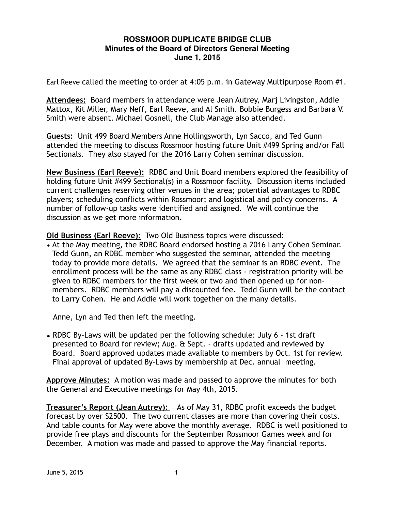## **ROSSMOOR DUPLICATE BRIDGE CLUB Minutes of the Board of Directors General Meeting June 1, 2015**

Earl Reeve called the meeting to order at 4:05 p.m. in Gateway Multipurpose Room #1.

**Attendees:** Board members in attendance were Jean Autrey, Marj Livingston, Addie Mattox, Kit Miller, Mary Neff, Earl Reeve, and Al Smith. Bobbie Burgess and Barbara V. Smith were absent. Michael Gosnell, the Club Manage also attended.

**Guests:** Unit 499 Board Members Anne Hollingsworth, Lyn Sacco, and Ted Gunn attended the meeting to discuss Rossmoor hosting future Unit #499 Spring and/or Fall Sectionals. They also stayed for the 2016 Larry Cohen seminar discussion.

**New Business (Earl Reeve):** RDBC and Unit Board members explored the feasibility of holding future Unit #499 Sectional(s) in a Rossmoor facility. Discussion items included current challenges reserving other venues in the area; potential advantages to RDBC players; scheduling conflicts within Rossmoor; and logistical and policy concerns. A number of follow-up tasks were identified and assigned. We will continue the discussion as we get more information.

**Old Business (Earl Reeve):** Two Old Business topics were discussed:

• At the May meeting, the RDBC Board endorsed hosting a 2016 Larry Cohen Seminar. Tedd Gunn, an RDBC member who suggested the seminar, attended the meeting today to provide more details. We agreed that the seminar is an RDBC event. The enrollment process will be the same as any RDBC class - registration priority will be given to RDBC members for the first week or two and then opened up for nonmembers. RDBC members will pay a discounted fee. Tedd Gunn will be the contact to Larry Cohen. He and Addie will work together on the many details.

Anne, Lyn and Ted then left the meeting.

**•** RDBC By-Laws will be updated per the following schedule: July 6 - 1st draft presented to Board for review; Aug. & Sept. - drafts updated and reviewed by Board. Board approved updates made available to members by Oct. 1st for review. Final approval of updated By-Laws by membership at Dec. annual meeting.

**Approve Minutes:** A motion was made and passed to approve the minutes for both the General and Executive meetings for May 4th, 2015.

**Treasurer's Report (Jean Autrey):** As of May 31, RDBC profit exceeds the budget forecast by over \$2500. The two current classes are more than covering their costs. And table counts for May were above the monthly average. RDBC is well positioned to provide free plays and discounts for the September Rossmoor Games week and for December. A motion was made and passed to approve the May financial reports.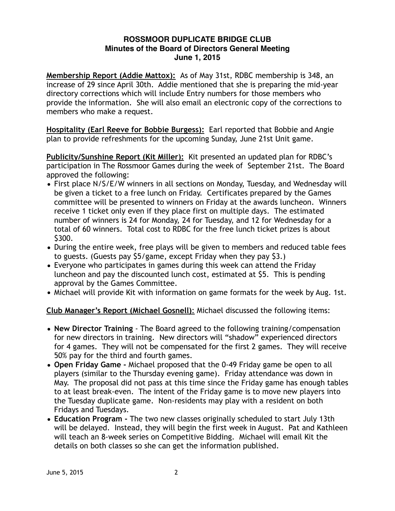## **ROSSMOOR DUPLICATE BRIDGE CLUB Minutes of the Board of Directors General Meeting June 1, 2015**

**Membership Report (Addie Mattox):** As of May 31st, RDBC membership is 348, an increase of 29 since April 30th. Addie mentioned that she is preparing the mid-year directory corrections which will include Entry numbers for those members who provide the information. She will also email an electronic copy of the corrections to members who make a request.

**Hospitality (Earl Reeve for Bobbie Burgess):** Earl reported that Bobbie and Angie plan to provide refreshments for the upcoming Sunday, June 21st Unit game.

**Publicity/Sunshine Report (Kit Miller):** Kit presented an updated plan for RDBC's participation in The Rossmoor Games during the week of September 21st. The Board approved the following:

- First place N/S/E/W winners in all sections on Monday, Tuesday, and Wednesday will be given a ticket to a free lunch on Friday. Certificates prepared by the Games committee will be presented to winners on Friday at the awards luncheon. Winners receive 1 ticket only even if they place first on multiple days. The estimated number of winners is 24 for Monday, 24 for Tuesday, and 12 for Wednesday for a total of 60 winners. Total cost to RDBC for the free lunch ticket prizes is about \$300.
- During the entire week, free plays will be given to members and reduced table fees to guests. (Guests pay \$5/game, except Friday when they pay \$3.)
- Everyone who participates in games during this week can attend the Friday luncheon and pay the discounted lunch cost, estimated at \$5. This is pending approval by the Games Committee.
- Michael will provide Kit with information on game formats for the week by Aug. 1st.

## **Club Manager's Report (Michael Gosnell)**: Michael discussed the following items:

- **New Director Training**  The Board agreed to the following training/compensation for new directors in training. New directors will "shadow" experienced directors for 4 games. They will not be compensated for the first 2 games. They will receive 50% pay for the third and fourth games.
- **Open Friday Game** Michael proposed that the 0-49 Friday game be open to all players (similar to the Thursday evening game). Friday attendance was down in May. The proposal did not pass at this time since the Friday game has enough tables to at least break-even. The intent of the Friday game is to move new players into the Tuesday duplicate game. Non-residents may play with a resident on both Fridays and Tuesdays.
- **Education Program** The two new classes originally scheduled to start July 13th will be delayed. Instead, they will begin the first week in August. Pat and Kathleen will teach an 8-week series on Competitive Bidding. Michael will email Kit the details on both classes so she can get the information published.